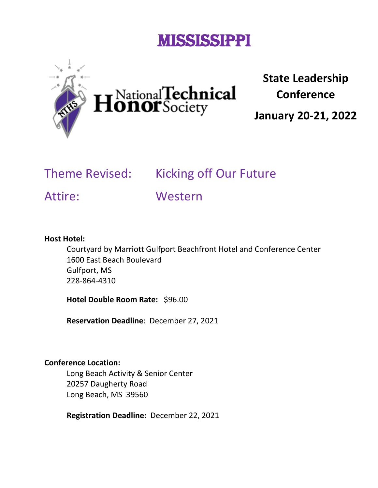# Mississippi



National**Technical**<br>**Conor**Society

**State Leadership Conference**

**January 20-21, 2022**

## Theme Revised: Kicking off Our Future

Attire: Western

#### **Host Hotel:**

Courtyard by Marriott Gulfport Beachfront Hotel and Conference Center 1600 East Beach Boulevard Gulfport, MS 228-864-4310

**Hotel Double Room Rate:** \$96.00

**Reservation Deadline**: December 27, 2021

#### **Conference Location:**

Long Beach Activity & Senior Center 20257 Daugherty Road Long Beach, MS 39560

**Registration Deadline:** December 22, 2021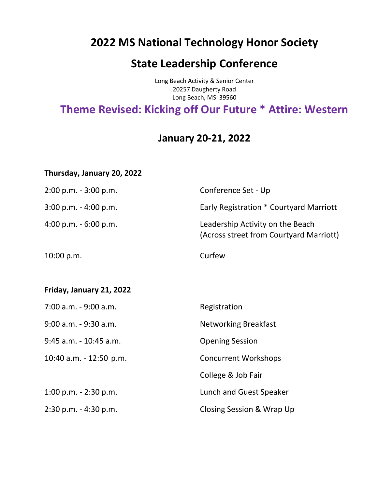### **2022 MS National Technology Honor Society**

### **State Leadership Conference**

Long Beach Activity & Senior Center 20257 Daugherty Road Long Beach, MS 39560

### **Theme Revised: Kicking off Our Future \* Attire: Western**

### **January 20-21, 2022**

#### **Thursday, January 20, 2022**

| $2:00$ p.m. - $3:00$ p.m. | Conference Set - Up                                                         |
|---------------------------|-----------------------------------------------------------------------------|
| 3:00 p.m. - 4:00 p.m.     | Early Registration * Courtyard Marriott                                     |
| 4:00 p.m. $-6:00$ p.m.    | Leadership Activity on the Beach<br>(Across street from Courtyard Marriott) |
| 10:00 p.m.                | Curfew                                                                      |
|                           |                                                                             |
| Friday, January 21, 2022  |                                                                             |
| 7:00 a.m. - 9:00 a.m.     | Registration                                                                |
| 9:00 a.m. - 9:30 a.m.     | <b>Networking Breakfast</b>                                                 |
| 9:45 a.m. - 10:45 a.m.    | <b>Opening Session</b>                                                      |
| 10:40 a.m. - 12:50 p.m.   | <b>Concurrent Workshops</b>                                                 |
|                           | College & Job Fair                                                          |
| 1:00 p.m. $-$ 2:30 p.m.   | Lunch and Guest Speaker                                                     |
| $2:30$ p.m. $-4:30$ p.m.  | Closing Session & Wrap Up                                                   |